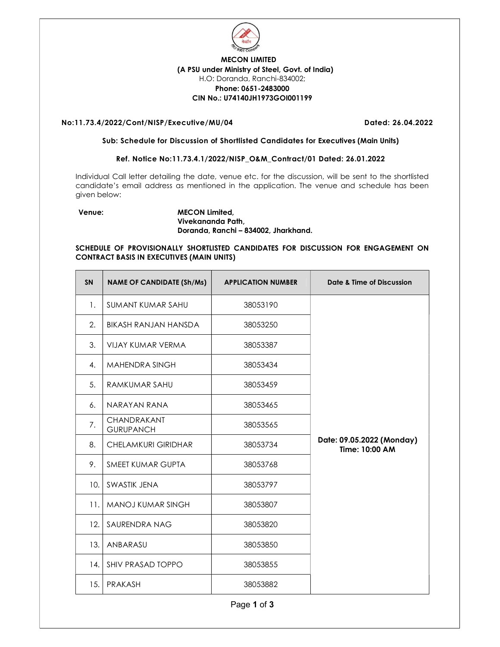

# MECON LIMITED (A PSU under Ministry of Steel, Govt. of India) H.O: Doranda, Ranchi-834002; Phone: 0651-2483000 CIN No.: U74140JH1973GOI001199

# No:11.73.4/2022/Cont/NISP/Executive/MU/04 Dated: 26.04.2022

#### Sub: Schedule for Discussion of Shortlisted Candidates for Executives (Main Units)

# Ref. Notice No:11.73.4.1/2022/NISP\_O&M\_Contract/01 Dated: 26.01.2022

Individual Call letter detailing the date, venue etc. for the discussion, will be sent to the shortlisted candidate's email address as mentioned in the application. The venue and schedule has been given below:

# Venue: MECON Limited, Vivekananda Path, Doranda, Ranchi – 834002, Jharkhand.

# SCHEDULE OF PROVISIONALLY SHORTLISTED CANDIDATES FOR DISCUSSION FOR ENGAGEMENT ON CONTRACT BASIS IN EXECUTIVES (MAIN UNITS)

| <b>SN</b> | <b>NAME OF CANDIDATE (Sh/Ms)</b> | <b>APPLICATION NUMBER</b> | Date & Time of Discussion                   |
|-----------|----------------------------------|---------------------------|---------------------------------------------|
| 1.        | SUMANT KUMAR SAHU                | 38053190                  |                                             |
| 2.        | BIKASH RANJAN HANSDA             | 38053250                  |                                             |
| 3.        | VIJAY KUMAR VERMA                | 38053387                  |                                             |
| 4.        | <b>MAHENDRA SINGH</b>            | 38053434                  |                                             |
| 5.        | RAMKUMAR SAHU                    | 38053459                  |                                             |
| 6.        | NARAYAN RANA                     | 38053465                  |                                             |
| 7.        | CHANDRAKANT<br><b>GURUPANCH</b>  | 38053565                  |                                             |
| 8.        | <b>CHELAMKURI GIRIDHAR</b>       | 38053734                  | Date: 09.05.2022 (Monday)<br>Time: 10:00 AM |
| 9.        | SMEET KUMAR GUPTA                | 38053768                  |                                             |
| 10.       | SWASTIK JENA                     | 38053797                  |                                             |
| 11.       | MANOJ KUMAR SINGH                | 38053807                  |                                             |
| 12.       | SAURENDRA NAG                    | 38053820                  |                                             |
| 13.       | ANBARASU                         | 38053850                  |                                             |
| 14.       | SHIV PRASAD TOPPO                | 38053855                  |                                             |
| 15.       | PRAKASH                          | 38053882                  |                                             |

Page 1 of 3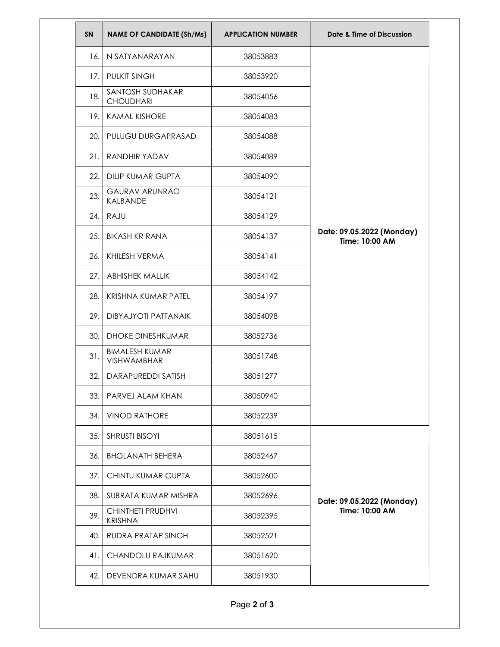| SN  | <b>NAME OF CANDIDATE (Sh/Ms)</b>           | <b>APPLICATION NUMBER</b> | Date & Time of Discussion                   |
|-----|--------------------------------------------|---------------------------|---------------------------------------------|
| 16. | N SATYANARAYAN                             | 38053883                  |                                             |
| 17. | <b>PULKIT SINGH</b>                        | 38053920                  |                                             |
| 18. | SANTOSH SUDHAKAR<br><b>CHOUDHARI</b>       | 38054056                  |                                             |
| 19. | <b>KAMAL KISHORE</b>                       | 38054083                  |                                             |
| 20. | PULUGU DURGAPRASAD                         | 38054088                  |                                             |
| 21. | <b>RANDHIR YADAV</b>                       | 38054089                  |                                             |
| 22. | <b>DILIP KUMAR GUPTA</b>                   | 38054090                  |                                             |
| 23. | <b>GAURAV ARUNRAO</b><br>KALBANDE          | 38054121                  |                                             |
| 24. | RAJU                                       | 38054129                  |                                             |
| 25. | <b>BIKASH KR RANA</b>                      | 38054137                  | Date: 09.05.2022 (Monday)<br>Time: 10:00 AM |
| 26. | KHILESH VERMA                              | 38054141                  |                                             |
| 27. | <b>ABHISHEK MALLIK</b>                     | 38054142                  |                                             |
| 28. | KRISHNA KUMAR PATEL                        | 38054197                  |                                             |
| 29. | <b>DIBYAJYOTI PATTANAIK</b>                | 38054098                  |                                             |
| 30. | <b>DHOKE DINESHKUMAR</b>                   | 38052736                  |                                             |
| 31. | <b>BIMALESH KUMAR</b><br>VISHWAMBHAR       | 38051748                  |                                             |
| 32. | <b>DARAPUREDDI SATISH</b>                  | 38051277                  |                                             |
| 33. | PARVEJ ALAM KHAN                           | 38050940                  |                                             |
| 34. | <b>VINOD RATHORE</b>                       | 38052239                  |                                             |
| 35. | <b>SHRUSTI BISOYI</b>                      | 38051615                  | Date: 09.05.2022 (Monday)<br>Time: 10:00 AM |
| 36. | <b>BHOLANATH BEHERA</b>                    | 38052467                  |                                             |
| 37. | CHINTU KUMAR GUPTA                         | 38052600                  |                                             |
| 38. | SUBRATA KUMAR MISHRA                       | 38052696                  |                                             |
| 39. | <b>CHINTHETI PRUDHVI</b><br><b>KRISHNA</b> | 38052395                  |                                             |
| 40. | RUDRA PRATAP SINGH                         | 38052521                  |                                             |
| 41. | CHANDOLU RAJKUMAR                          | 38051620                  |                                             |
|     | DEVENDRA KUMAR SAHU<br>42.                 | 38051930                  |                                             |